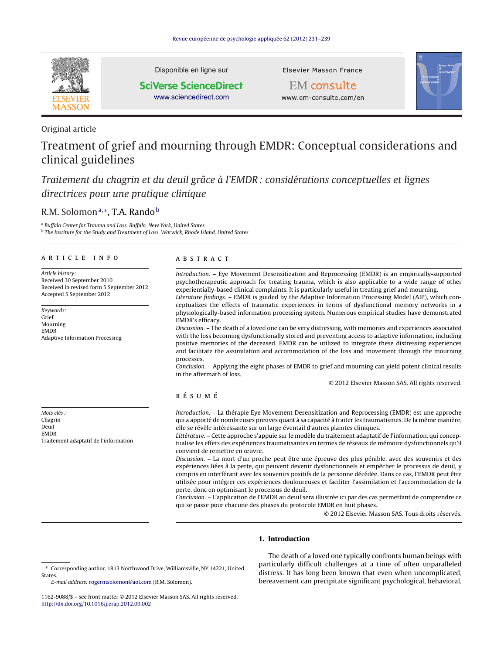

Disponible en ligne sur

**SciVerse ScienceDirect** [www.sciencedirect.com](http://www.sciencedirect.com/science/journal/11629088)

**Elsevier Masson France** 



EMconsulte www.em-consulte.com/en

## Original article

# Treatment of grief and mourning through EMDR: Conceptual considerations and clinical guidelines

# Traitement du chagrin et du deuil grâce à l'EMDR : considérations conceptuelles et lignes directrices pour une pratique clinique

## R.M. Solomon<sup>a,∗</sup>, T.A. Rando<sup>b</sup>

<sup>a</sup> Buffalo Center for Trauma and Loss, Buffalo, New York, United States **b** The Institute for the Study and Treatment of Loss, Warwick, Rhode Island, United States

#### ARTICLE INFO

Article history: Received 30 September 2010 Received in revised form 5 September 2012 Accepted 5 September 2012

Keywords: Grief Mourning EMDR Adaptive Information Processing

Mots clés : Chagrin Deuil EMDR Traitement adaptatif de l'information

### A B S T R A C T

Introduction. – Eye Movement Desensitization and Reprocessing (EMDR) is an empirically-supported psychotherapeutic approach for treating trauma, which is also applicable to a wide range of other experientially-based clinical complaints. It is particularly useful in treating grief and mourning.

Literature findings. – EMDR is guided by the Adaptive Information Processing Model (AIP), which conceptualizes the effects of traumatic experiences in terms of dysfunctional memory networks in a physiologically-based information processing system. Numerous empirical studies have demonstrated EMDR's efficacy.

Discussion. – The death of a loved one can be very distressing, with memories and experiences associated with the loss becoming dysfunctionally stored and preventing access to adaptive information, including positive memories of the deceased. EMDR can be utilized to integrate these distressing experiences and facilitate the assimilation and accommodation of the loss and movement through the mourning processes.

Conclusion. – Applying the eight phases of EMDR to grief and mourning can yield potent clinical results in the aftermath of loss.

© 2012 Elsevier Masson SAS. All rights reserved.

## r é s u m é

Introduction. – La thérapie Eye Movement Desensitization and Reprocessing (EMDR) est une approche qui a apporté de nombreuses preuves quant à sa capacité à traiter les traumatismes. De la même manière, elle se révèle intéressante sur un large éventail d'autres plaintes cliniques.

Littérature. – Cette approche s'appuie sur le modèle du traitement adaptatif de l'information, qui conceptualise les effets des expériences traumatisantes en termes de réseaux de mémoire dysfonctionnels qu'il convient de remettre en œuvre.

Discussion. – La mort d'un proche peut être une épreuve des plus pénible, avec des souvenirs et des expériences liées à la perte, qui peuvent devenir dysfonctionnels et empêcher le processus de deuil, y compris en interférant avec les souvenirs positifs de la personne décédée. Dans ce cas, l'EMDR peut être utilisée pour intégrer ces expériences douloureuses et faciliter l'assimilation et l'accommodation de la perte, donc en optimisant le processus de deuil.

Conclusion. – L'application de l'EMDR au deuil sera illustrée ici par des cas permettant de comprendre ce qui se passe pour chacune des phases du protocole EMDR en huit phases.

© 2012 Elsevier Masson SAS. Tous droits réservés.

## **1. Introduction**

E-mail address: [rogermsolomon@aol.com](mailto:rogermsolomon@aol.com) (R.M. Solomon).

The death of a loved one typically confronts human beings with particularly difficult challenges at a time of often unparalleled distress. It has long been known that even when uncomplicated, bereavement can precipitate significant psychological, behavioral,

<sup>∗</sup> Corresponding author. 1813 Northwood Drive, Williamsville, NY 14221, United **States** 

<sup>1162-9088/\$</sup> – see front matter © 2012 Elsevier Masson SAS. All rights reserved. [http://dx.doi.org/10.1016/j.erap.2012.09.002](dx.doi.org/10.1016/j.erap.2012.09.002)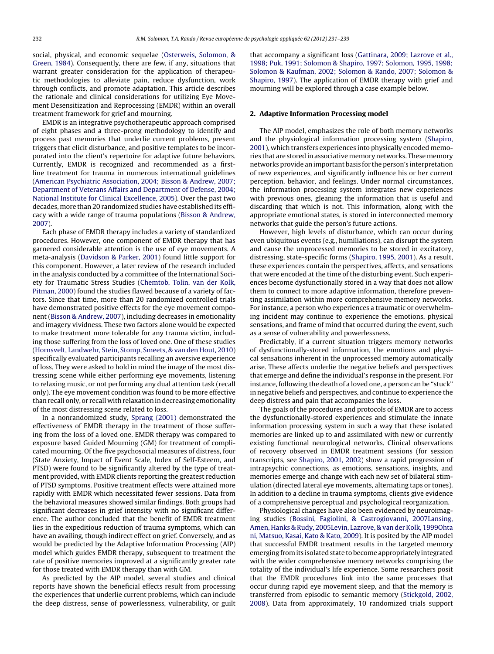social, physical, and economic sequelae ([Osterweis,](#page-8-0) [Solomon,](#page-8-0) [&](#page-8-0) [Green,](#page-8-0) [1984\).](#page-8-0) Consequently, there are few, if any, situations that warrant greater consideration for the application of therapeutic methodologies to alleviate pain, reduce dysfunction, work through conflicts, and promote adaptation. This article describes the rationale and clinical considerations for utilizing Eye Movement Desensitization and Reprocessing (EMDR) within an overall treatment framework for grief and mourning.

EMDR is an integrative psychotherapeutic approach comprised of eight phases and a three-prong methodology to identify and process past memories that underlie current problems, present triggers that elicit disturbance, and positive templates to be incorporated into the client's repertoire for adaptive future behaviors. Currently, EMDR is recognized and recommended as a firstline treatment for trauma in numerous international guidelines ([American](#page-7-0) [Psychiatric](#page-7-0) [Association,](#page-7-0) [2004;](#page-7-0) [Bisson](#page-7-0) [&](#page-7-0) [Andrew,](#page-7-0) [2007;](#page-7-0) [Department](#page-7-0) [of](#page-7-0) [Veterans](#page-7-0) [Affairs](#page-7-0) [and](#page-7-0) [Department](#page-7-0) [of](#page-7-0) [Defense,](#page-7-0) [2004;](#page-7-0) [National](#page-7-0) [Institute](#page-7-0) [for](#page-7-0) [Clinical](#page-7-0) [Excellence,](#page-7-0) [2005\).](#page-7-0) Over the past two decades, more than 20 randomized studies have established its efficacy with a wide range of trauma populations ([Bisson](#page-7-0) [&](#page-7-0) [Andrew,](#page-7-0) [2007\).](#page-7-0)

Each phase of EMDR therapy includes a variety of standardized procedures. However, one component of EMDR therapy that has garnered considerable attention is the use of eye movements. A meta-analysis [\(Davidson](#page-7-0) [&](#page-7-0) [Parker,](#page-7-0) [2001\)](#page-7-0) found little support for this component. However, a later review of the research included in the analysis conducted by a committee of the International Society for Traumatic Stress Studies [\(Chemtob,](#page-7-0) [Tolin,](#page-7-0) [van](#page-7-0) [der](#page-7-0) [Kolk,](#page-7-0) [Pitman,](#page-7-0) [2000\)](#page-7-0) found the studies flawed because of a variety of factors. Since that time, more than 20 randomized controlled trials have demonstrated positive effects for the eye movement component [\(Bisson](#page-7-0) [&](#page-7-0) [Andrew,](#page-7-0) [2007\),](#page-7-0) including decreases in emotionality and imagery vividness. These two factors alone would be expected to make treatment more tolerable for any trauma victim, including those suffering from the loss of loved one. One of these studies ([Hornsvelt,](#page-7-0) [Landwehr,](#page-7-0) [Stein,](#page-7-0) [Stomp,](#page-7-0) [Smeets,](#page-7-0) [&](#page-7-0) [van](#page-7-0) [den](#page-7-0) [Hout,](#page-7-0) [2010\)](#page-7-0) specifically evaluated participants recalling an aversive experience of loss. They were asked to hold in mind the image of the most distressing scene while either performing eye movements, listening to relaxing music, or not performing any dual attention task (recall only). The eye movement condition was found to be more effective than recall only, or recall with relaxation in decreasing emotionality of the most distressing scene related to loss.

In a nonrandomized study, [Sprang](#page-8-0) [\(2001\)](#page-8-0) demonstrated the effectiveness of EMDR therapy in the treatment of those suffering from the loss of a loved one. EMDR therapy was compared to exposure based Guided Mourning (GM) for treatment of complicated mourning. Of the five psychosocial measures of distress, four (State Anxiety, Impact of Event Scale, Index of Self-Esteem, and PTSD) were found to be significantly altered by the type of treatment provided, with EMDR clients reporting the greatest reduction of PTSD symptoms. Positive treatment effects were attained more rapidly with EMDR which necessitated fewer sessions. Data from the behavioral measures showed similar findings. Both groups had significant decreases in grief intensity with no significant difference. The author concluded that the benefit of EMDR treatment lies in the expeditious reduction of trauma symptoms, which can have an availing, though indirect effect on grief. Conversely, and as would be predicted by the Adaptive Information Processing (AIP) model which guides EMDR therapy, subsequent to treatment the rate of positive memories improved at a significantly greater rate for those treated with EMDR therapy than with GM.

As predicted by the AIP model, several studies and clinical reports have shown the beneficial effects result from processing the experiences that underlie current problems, which can include the deep distress, sense of powerlessness, vulnerability, or guilt that accompany a significant loss [\(Gattinara,](#page-7-0) [2009;](#page-7-0) [Lazrove](#page-7-0) et [al.,](#page-7-0) [1998;](#page-7-0) [Puk,](#page-7-0) [1991;](#page-7-0) [Solomon](#page-7-0) [&](#page-7-0) [Shapiro,](#page-7-0) [1997;](#page-7-0) [Solomon,](#page-7-0) [1995,](#page-7-0) [1998;](#page-7-0) [Solomon](#page-7-0) [&](#page-7-0) [Kaufman,](#page-7-0) [2002;](#page-7-0) [Solomon](#page-7-0) [&](#page-7-0) [Rando,](#page-7-0) [2007;](#page-7-0) [Solomon](#page-7-0) [&](#page-7-0) [Shapiro,](#page-7-0) [1997\).](#page-7-0) The application of EMDR therapy with grief and mourning will be explored through a case example below.

#### **2. Adaptive Information Processing model**

The AIP model, emphasizes the role of both memory networks and the physiological information processing system ([Shapiro,](#page-8-0) [2001\),](#page-8-0) which transfers experiences into physically encoded memories that are stored in associative memory networks. These memory networks provide an important basis for the person's interpretation of new experiences, and significantly influence his or her current perception, behavior, and feelings. Under normal circumstances, the information processing system integrates new experiences with previous ones, gleaning the information that is useful and discarding that which is not. This information, along with the appropriate emotional states, is stored in interconnected memory networks that guide the person's future actions.

However, high levels of disturbance, which can occur during even ubiquitous events (e.g., humiliations), can disrupt the system and cause the unprocessed memories to be stored in excitatory, distressing, state-specific forms ([Shapiro,](#page-8-0) [1995,](#page-8-0) [2001\).](#page-8-0) As a result, these experiences contain the perspectives, affects, and sensations that were encoded at the time of the disturbing event. Such experiences become dysfunctionally stored in a way that does not allow them to connect to more adaptive information, therefore preventing assimilation within more comprehensive memory networks. For instance, a person who experiences a traumatic or overwhelming incident may continue to experience the emotions, physical sensations, and frame of mind that occurred during the event, such as a sense of vulnerability and powerlessness.

Predictably, if a current situation triggers memory networks of dysfunctionally-stored information, the emotions and physical sensations inherent in the unprocessed memory automatically arise. These affects underlie the negative beliefs and perspectives that emerge and define the individual's response in the present. For instance, following the death of a loved one, a person can be "stuck" in negative beliefs and perspectives, and continue to experience the deep distress and pain that accompanies the loss.

The goals of the procedures and protocols of EMDR are to access the dysfunctionally-stored experiences and stimulate the innate information processing system in such a way that these isolated memories are linked up to and assimilated with new or currently existing functional neurological networks. Clinical observations of recovery observed in EMDR treatment sessions (for session transcripts, see [Shapiro,](#page-8-0) [2001,](#page-8-0) [2002\)](#page-8-0) show a rapid progression of intrapsychic connections, as emotions, sensations, insights, and memories emerge and change with each new set of bilateral stimulation (directed lateral eye movements, alternating taps or tones). In addition to a decline in trauma symptoms, clients give evidence of a comprehensive perceptual and psychological reorganization.

Physiological changes have also been evidenced by neuroimaging studies ([Bossini,](#page-7-0) [Fagiolini,](#page-7-0) [&](#page-7-0) [Castrogiovanni,](#page-7-0) [2007Lansing,](#page-7-0) [Amen,](#page-7-0) [Hanks](#page-7-0) [&](#page-7-0) [Rudy,](#page-7-0) [2005Levin,](#page-7-0) [Lazrove,](#page-7-0) [&](#page-7-0) [van](#page-7-0) [der](#page-7-0) [Kolk,](#page-7-0) [1999](#page-7-0)[Ohta](#page-8-0) [ni,](#page-8-0) [Matsuo,](#page-8-0) [Kasai,](#page-8-0) [Kato](#page-8-0) [&](#page-8-0) [Kato,](#page-8-0) [2009\).](#page-8-0) It is posited by the AIP model that successful EMDR treatment results in the targeted memory emerging from its isolated state to become appropriately integrated with the wider comprehensive memory networks comprising the totality of the individual's life experience. Some researchers posit that the EMDR procedures link into the same processes that occur during rapid eye movement sleep, and that the memory is transferred from episodic to semantic memory ([Stickgold,](#page-8-0) [2002,](#page-8-0) [2008\).](#page-8-0) Data from approximately, 10 randomized trials support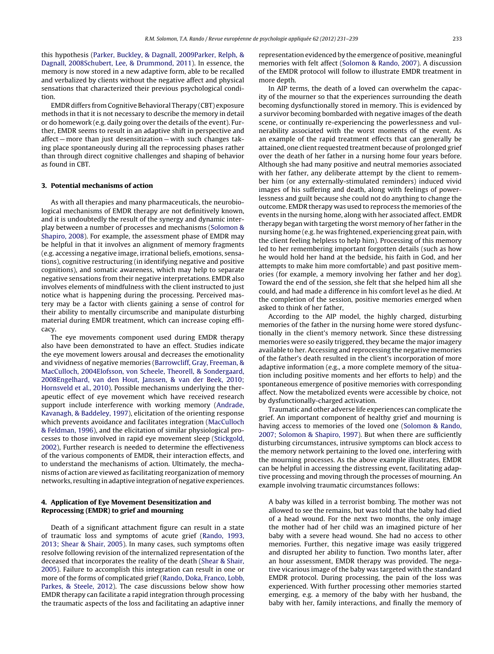this hypothesis [\(Parker,](#page-8-0) [Buckley,](#page-8-0) [&](#page-8-0) [Dagnall,](#page-8-0) [2009Parker,](#page-8-0) [Relph,](#page-8-0) [&](#page-8-0) [Dagnall,](#page-8-0) [2008Schubert,](#page-8-0) [Lee,](#page-8-0) [&](#page-8-0) [Drummond,](#page-8-0) [2011\).](#page-8-0) In essence, the memory is now stored in a new adaptive form, able to be recalled and verbalized by clients without the negative affect and physical sensations that characterized their previous psychological condition.

EMDR differs from Cognitive Behavioral Therapy (CBT) exposure methods in that it is not necessary to describe the memory in detail or do homework (e.g. daily going over the details of the event). Further, EMDR seems to result in an adaptive shift in perspective and affect — more than just desensitization — with such changes taking place spontaneously during all the reprocessing phases rather than through direct cognitive challenges and shaping of behavior as found in CBT.

#### **3. Potential mechanisms of action**

As with all therapies and many pharmaceuticals, the neurobiological mechanisms of EMDR therapy are not definitively known, and it is undoubtedly the result of the synergy and dynamic interplay between a number of processes and mechanisms ([Solomon](#page-8-0) [&](#page-8-0) [Shapiro,](#page-8-0) [2008\).](#page-8-0) For example, the assessment phase of EMDR may be helpful in that it involves an alignment of memory fragments (e.g. accessing a negative image, irrational beliefs, emotions, sensations), cognitive restructuring (in identifying negative and positive cognitions), and somatic awareness, which may help to separate negative sensations from their negative interpretations. EMDR also involves elements of mindfulness with the client instructed to just notice what is happening during the processing. Perceived mastery may be a factor with clients gaining a sense of control for their ability to mentally circumscribe and manipulate disturbing material during EMDR treatment, which can increase coping efficacy.

The eye movements component used during EMDR therapy also have been demonstrated to have an effect. Studies indicate the eye movement lowers arousal and decreases the emotionality and vividness of negative memories [\(Barrowcliff,](#page-7-0) [Gray,](#page-7-0) [Freeman,](#page-7-0) [&](#page-7-0) [MacCulloch,](#page-7-0) [2004Elofsson,](#page-7-0) [von](#page-7-0) [Scheele,](#page-7-0) [Theorell,](#page-7-0) [&](#page-7-0) [Sondergaard,](#page-7-0) [2008Engelhard,](#page-7-0) [van](#page-7-0) [den](#page-7-0) [Hout,](#page-7-0) [Janssen,](#page-7-0) [&](#page-7-0) [van](#page-7-0) [der](#page-7-0) [Beek,](#page-7-0) [2010;](#page-7-0) [Hornsveld](#page-7-0) et [al.,](#page-7-0) [2010\).](#page-7-0) Possible mechanisms underlying the therapeutic effect of eye movement which have received research support include interference with working memory ([Andrade,](#page-7-0) [Kavanagh,](#page-7-0) [&](#page-7-0) [Baddeley,](#page-7-0) [1997\),](#page-7-0) elicitation of the orienting response which prevents avoidance and facilitates integration ([MacCulloch](#page-8-0) [&](#page-8-0) [Feldman,](#page-8-0) [1996\),](#page-8-0) and the elicitation of similar physiological processes to those involved in rapid eye movement sleep [\(Stickgold,](#page-8-0) [2002\),](#page-8-0) Further research is needed to determine the effectiveness of the various components of EMDR, their interaction effects, and to understand the mechanisms of action. Ultimately, the mechanisms of action are viewed as facilitating reorganization of memory networks, resulting in adaptive integration of negative experiences.

## **4. Application of Eye Movement Desensitization and Reprocessing (EMDR) to grief and mourning**

Death of a significant attachment figure can result in a state of traumatic loss and symptoms of acute grief [\(Rando,](#page-8-0) [1993,](#page-8-0) [2013;](#page-8-0) [Shear](#page-8-0) [&](#page-8-0) [Shair,](#page-8-0) [2005\).](#page-8-0) In many cases, such symptoms often resolve following revision of the internalized representation of the deceased that incorporates the reality of the death [\(Shear](#page-8-0) [&](#page-8-0) [Shair,](#page-8-0) [2005\).](#page-8-0) Failure to accomplish this integration can result in one or more of the forms of complicated grief [\(Rando,](#page-8-0) [Doka,](#page-8-0) [Franco,](#page-8-0) [Lobb,](#page-8-0) [Parkes,](#page-8-0) [&](#page-8-0) [Steele,](#page-8-0) [2012\).](#page-8-0) The case discussions below show how EMDR therapy can facilitate a rapid integration through processing the traumatic aspects of the loss and facilitating an adaptive inner representation evidenced by the emergence of positive, meaningful memories with felt affect ([Solomon](#page-8-0) [&](#page-8-0) [Rando,](#page-8-0) [2007\).](#page-8-0) A discussion of the EMDR protocol will follow to illustrate EMDR treatment in more depth.

In AIP terms, the death of a loved can overwhelm the capacity of the mourner so that the experiences surrounding the death becoming dysfunctionally stored in memory. This is evidenced by a survivor becoming bombarded with negative images of the death scene, or continually re-experiencing the powerlessness and vulnerability associated with the worst moments of the event. As an example of the rapid treatment effects that can generally be attained, one client requested treatment because of prolonged grief over the death of her father in a nursing home four years before. Although she had many positive and neutral memories associated with her father, any deliberate attempt by the client to remember him (or any externally-stimulated reminders) induced vivid images of his suffering and death, along with feelings of powerlessness and guilt because she could not do anything to change the outcome. EMDR therapy was used to reprocess the memories of the events in the nursing home, along with her associated affect. EMDR therapy began with targeting the worst memory of her father in the nursing home (e.g. he was frightened, experiencing great pain, with the client feeling helpless to help him). Processing of this memory led to her remembering important forgotten details (such as how he would hold her hand at the bedside, his faith in God, and her attempts to make him more comfortable) and past positive memories (for example, a memory involving her father and her dog). Toward the end of the session, she felt that she helped him all she could, and had made a difference in his comfort level as he died. At the completion of the session, positive memories emerged when asked to think of her father,

According to the AIP model, the highly charged, disturbing memories of the father in the nursing home were stored dysfunctionally in the client's memory network. Since these distressing memories were so easily triggered, they became the major imagery available to her. Accessing and reprocessing the negative memories of the father's death resulted in the client's incorporation of more adaptive information (e.g., a more complete memory of the situation including positive moments and her efforts to help) and the spontaneous emergence of positive memories with corresponding affect. Now the metabolized events were accessible by choice, not by dysfunctionally-charged activation.

Traumatic and other adverse life experiences can complicate the grief. An important component of healthy grief and mourning is having access to memories of the loved one ([Solomon](#page-8-0) [&](#page-8-0) [Rando,](#page-8-0) [2007;](#page-8-0) [Solomon](#page-8-0) [&](#page-8-0) [Shapiro,](#page-8-0) [1997\).](#page-8-0) But when there are sufficiently disturbing circumstances, intrusive symptoms can block access to the memory network pertaining to the loved one, interfering with the mourning processes. As the above example illustrates, EMDR can be helpful in accessing the distressing event, facilitating adaptive processing and moving through the processes of mourning. An example involving traumatic circumstances follows:

A baby was killed in a terrorist bombing. The mother was not allowed to see the remains, but was told that the baby had died of a head wound. For the next two months, the only image the mother had of her child was an imagined picture of her baby with a severe head wound. She had no access to other memories. Further, this negative image was easily triggered and disrupted her ability to function. Two months later, after an hour assessment, EMDR therapy was provided. The negative vicarious image of the baby was targeted with the standard EMDR protocol. During processing, the pain of the loss was experienced. With further processing other memories started emerging, e.g. a memory of the baby with her husband, the baby with her, family interactions, and finally the memory of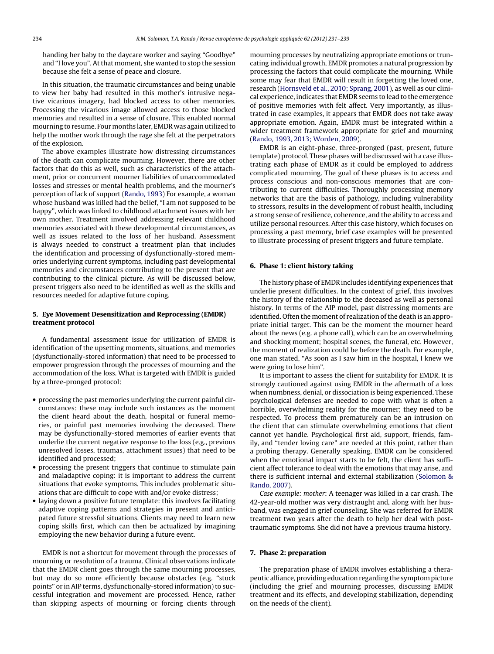handing her baby to the daycare worker and saying "Goodbye" and "I love you". Atthat moment, she wanted to stop the session because she felt a sense of peace and closure.

In this situation, the traumatic circumstances and being unable to view her baby had resulted in this mother's intrusive negative vicarious imagery, had blocked access to other memories. Processing the vicarious image allowed access to those blocked memories and resulted in a sense of closure. This enabled normal mourning to resume. Four months later, EMDR was again utilized to help the mother work through the rage she felt at the perpetrators of the explosion.

The above examples illustrate how distressing circumstances of the death can complicate mourning. However, there are other factors that do this as well, such as characteristics of the attachment, prior or concurrent mourner liabilities of unaccommodated losses and stresses or mental health problems, and the mourner's perception of lack of support ([Rando,](#page-8-0) [1993\)](#page-8-0) For example, a woman whose husband was killed had the belief, "I am not supposed to be happy", which was linked to childhood attachment issues with her own mother. Treatment involved addressing relevant childhood memories associated with these developmental circumstances, as well as issues related to the loss of her husband. Assessment is always needed to construct a treatment plan that includes the identification and processing of dysfunctionally-stored memories underlying current symptoms, including past developmental memories and circumstances contributing to the present that are contributing to the clinical picture. As will be discussed below, present triggers also need to be identified as well as the skills and resources needed for adaptive future coping.

## **5. Eye Movement Desensitization and Reprocessing (EMDR) treatment protocol**

A fundamental assessment issue for utilization of EMDR is identification of the upsetting moments, situations, and memories (dysfunctionally-stored information) that need to be processed to empower progression through the processes of mourning and the accommodation of the loss. What is targeted with EMDR is guided by a three-pronged protocol:

- processing the past memories underlying the current painful circumstances: these may include such instances as the moment the client heard about the death, hospital or funeral memories, or painful past memories involving the deceased. There may be dysfunctionally-stored memories of earlier events that underlie the current negative response to the loss (e.g., previous unresolved losses, traumas, attachment issues) that need to be identified and processed;
- processing the present triggers that continue to stimulate pain and maladaptive coping: it is important to address the current situations that evoke symptoms. This includes problematic situations that are difficult to cope with and/or evoke distress;
- laying down a positive future template: this involves facilitating adaptive coping patterns and strategies in present and anticipated future stressful situations. Clients may need to learn new coping skills first, which can then be actualized by imagining employing the new behavior during a future event.

EMDR is not a shortcut for movement through the processes of mourning or resolution of a trauma. Clinical observations indicate that the EMDR client goes through the same mourning processes, but may do so more efficiently because obstacles (e.g. "stuck points" or in AIP terms, dysfunctionally-stored information) to successful integration and movement are processed. Hence, rather than skipping aspects of mourning or forcing clients through mourning processes by neutralizing appropriate emotions or truncating individual growth, EMDR promotes a natural progression by processing the factors that could complicate the mourning. While some may fear that EMDR will result in forgetting the loved one, research ([Hornsveld](#page-7-0) et [al.,](#page-7-0) [2010;](#page-7-0) [Sprang,](#page-7-0) [2001\),](#page-7-0) as well as our clinical experience, indicates that EMDR seems to lead to the emergence of positive memories with felt affect. Very importantly, as illustrated in case examples, it appears that EMDR does not take away appropriate emotion. Again, EMDR must be integrated within a wider treatment framework appropriate for grief and mourning [\(Rando,](#page-8-0) [1993,](#page-8-0) [2013;](#page-8-0) [Worden,](#page-8-0) [2009\).](#page-8-0)

EMDR is an eight-phase, three-pronged (past, present, future template) protocol. These phases will be discussed with a case illustrating each phase of EMDR as it could be employed to address complicated mourning. The goal of these phases is to access and process conscious and non-conscious memories that are contributing to current difficulties. Thoroughly processing memory networks that are the basis of pathology, including vulnerability to stressors, results in the development of robust health, including a strong sense of resilience, coherence, and the ability to access and utilize personal resources. After this case history, which focuses on processing a past memory, brief case examples will be presented to illustrate processing of present triggers and future template.

#### **6. Phase 1: client history taking**

The history phase of EMDR includes identifying experiences that underlie present difficulties. In the context of grief, this involves the history of the relationship to the deceased as well as personal history. In terms of the AIP model, past distressing moments are identified. Often the moment of realization of the death is an appropriate initial target. This can be the moment the mourner heard about the news (e.g. a phone call), which can be an overwhelming and shocking moment; hospital scenes, the funeral, etc. However, the moment of realization could be before the death. For example, one man stated, "As soon as I saw him in the hospital, I knew we were going to lose him".

It is important to assess the client for suitability for EMDR. It is strongly cautioned against using EMDR in the aftermath of a loss when numbness, denial, or dissociation is being experienced. These psychological defenses are needed to cope with what is often a horrible, overwhelming reality for the mourner; they need to be respected. To process them prematurely can be an intrusion on the client that can stimulate overwhelming emotions that client cannot yet handle. Psychological first aid, support, friends, family, and "tender loving care" are needed at this point, rather than a probing therapy. Generally speaking, EMDR can be considered when the emotional impact starts to be felt, the client has sufficient affect tolerance to deal with the emotions that may arise, and there is sufficient internal and external stabilization ([Solomon](#page-8-0) [&](#page-8-0) [Rando,](#page-8-0) [2007\).](#page-8-0)

Case example: mother: A teenager was killed in a car crash. The 42-year-old mother was very distraught and, along with her husband, was engaged in grief counseling. She was referred for EMDR treatment two years after the death to help her deal with posttraumatic symptoms. She did not have a previous trauma history.

#### **7. Phase 2: preparation**

The preparation phase of EMDR involves establishing a therapeutic alliance, providing education regarding the symptom picture (including the grief and mourning processes, discussing EMDR treatment and its effects, and developing stabilization, depending on the needs of the client).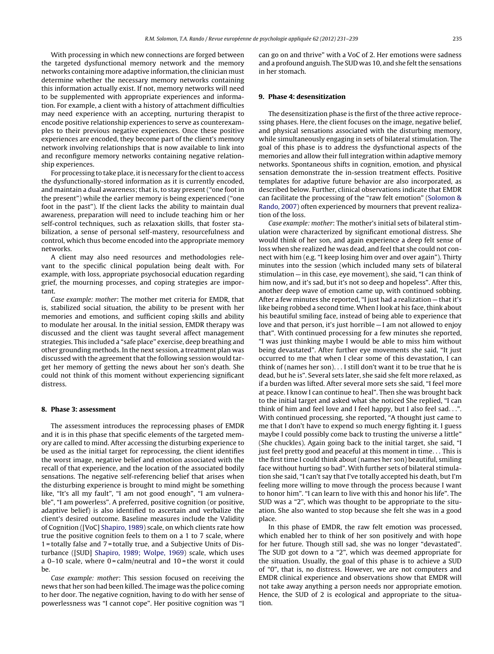With processing in which new connections are forged between the targeted dysfunctional memory network and the memory networks containing more adaptive information, the clinician must determine whether the necessary memory networks containing this information actually exist. If not, memory networks will need to be supplemented with appropriate experiences and information. For example, a client with a history of attachment difficulties may need experience with an accepting, nurturing therapist to encode positive relationship experiences to serve as counterexamples to their previous negative experiences. Once these positive experiences are encoded, they become part of the client's memory network involving relationships that is now available to link into and reconfigure memory networks containing negative relationship experiences.

For processing to take place, it is necessary for the client to access the dysfunctionally-stored information as it is currently encoded, and maintain a dual awareness; that is, to stay present ("one foot in the present") while the earlier memory is being experienced ("one foot in the past"). If the client lacks the ability to maintain dual awareness, preparation will need to include teaching him or her self-control techniques, such as relaxation skills, that foster stabilization, a sense of personal self-mastery, resourcefulness and control, which thus become encoded into the appropriate memory networks.

A client may also need resources and methodologies relevant to the specific clinical population being dealt with. For example, with loss, appropriate psychosocial education regarding grief, the mourning processes, and coping strategies are important.

Case example: mother: The mother met criteria for EMDR, that is, stabilized social situation, the ability to be present with her memories and emotions, and sufficient coping skills and ability to modulate her arousal. In the initial session, EMDR therapy was discussed and the client was taught several affect management strategies. This included a "safe place" exercise, deep breathing and other grounding methods. In the next session, a treatment plan was discussed with the agreement that the following session would target her memory of getting the news about her son's death. She could not think of this moment without experiencing significant distress.

#### **8. Phase 3: assessment**

The assessment introduces the reprocessing phases of EMDR and it is in this phase that specific elements of the targeted memory are called to mind. After accessing the disturbing experience to be used as the initial target for reprocessing, the client identifies the worst image, negative belief and emotion associated with the recall of that experience, and the location of the associated bodily sensations. The negative self-referencing belief that arises when the disturbing experience is brought to mind might be something like, "It's all my fault", "I am not good enough", "I am vulnerable", "I am powerless". A preferred, positive cognition (or positive, adaptive belief) is also identified to ascertain and verbalize the client's desired outcome. Baseline measures include the Validity of Cognition ([VoC] [Shapiro,](#page-8-0) [1989\)](#page-8-0) scale, on which clients rate how true the positive cognition feels to them on a 1 to 7 scale, where 1 = totally false and 7 = totally true, and a Subjective Units of Disturbance ([SUD] [Shapiro,](#page-8-0) [1989;](#page-8-0) [Wolpe,](#page-8-0) [1969\)](#page-8-0) scale, which uses a 0–10 scale, where  $0 = \text{calm}/\text{neutral}$  and  $10 = \text{the worst it could}$ be.

Case example: mother: This session focused on receiving the news that her son had been killed. The image was the police coming to her door. The negative cognition, having to do with her sense of powerlessness was "I cannot cope". Her positive cognition was "I can go on and thrive" with a VoC of 2. Her emotions were sadness and a profound anguish. The SUD was 10, and she felt the sensations in her stomach.

## **9. Phase 4: desensitization**

The desensitization phase is the first of the three active reprocessing phases. Here, the client focuses on the image, negative belief, and physical sensations associated with the disturbing memory, while simultaneously engaging in sets of bilateral stimulation. The goal of this phase is to address the dysfunctional aspects of the memories and allow their full integration within adaptive memory networks. Spontaneous shifts in cognition, emotion, and physical sensation demonstrate the in-session treatment effects. Positive templates for adaptive future behavior are also incorporated, as described below. Further, clinical observations indicate that EMDR can facilitate the processing of the "raw felt emotion" [\(Solomon](#page-8-0) [&](#page-8-0) [Rando,](#page-8-0) [2007\)](#page-8-0) often experienced by mourners that prevent realization of the loss.

Case example: mother: The mother's initial sets of bilateral stimulation were characterized by significant emotional distress. She would think of her son, and again experience a deep felt sense of loss when she realized he was dead, and feel that she could not connect with him (e.g. "I keep losing him over and over again"). Thirty minutes into the session (which included many sets of bilateral stimulation — in this case, eye movement), she said, "I can think of him now, and it's sad, but it's not so deep and hopeless". After this, another deep wave of emotion came up, with continued sobbing. After a few minutes she reported, "I just had a realization — that it's like being robbed a second time. When I look at his face, think about his beautiful smiling face, instead of being able to experience that love and that person, it's just horrible — I am not allowed to enjoy that". With continued processing for a few minutes she reported, "I was just thinking maybe I would be able to miss him without being devastated". After further eye movements she said, "It just occurred to me that when I clear some of this devastation, I can think of (names her son). . . I still don't want it to be true that he is dead, but he is". Several sets later, she said she felt more relaxed, as if a burden was lifted. After several more sets she said, "I feel more at peace. I know I can continue to heal". Then she was brought back to the initial target and asked what she noticed She replied, "I can think of him and feel love and I feel happy, but I also feel sad. . .". With continued processing, she reported, "A thought just came to me that I don't have to expend so much energy fighting it. I guess maybe I could possibly come back to trusting the universe a little" (She chuckles). Again going back to the initial target, she said, "I just feel pretty good and peaceful at this moment in time. . . This is the first time I could think about (names her son) beautiful, smiling face without hurting so bad". With further sets of bilateral stimulation she said, "I can't say that I've totally accepted his death, but I'm feeling more willing to move through the process because I want to honor him". "I can learn to live with this and honor his life". The SUD was a "2", which was thought to be appropriate to the situation. She also wanted to stop because she felt she was in a good place.

In this phase of EMDR, the raw felt emotion was processed, which enabled her to think of her son positively and with hope for her future. Though still sad, she was no longer "devastated". The SUD got down to a "2", which was deemed appropriate for the situation. Usually, the goal of this phase is to achieve a SUD of "0", that is, no distress. However, we are not computers and EMDR clinical experience and observations show that EMDR will not take away anything a person needs nor appropriate emotion. Hence, the SUD of 2 is ecological and appropriate to the situation.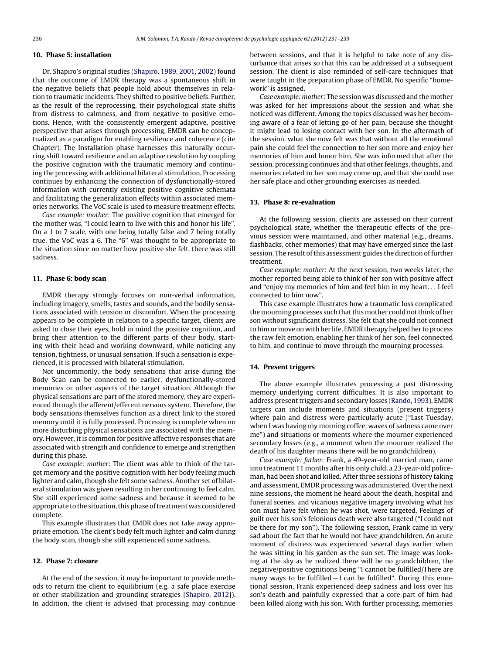## **10. Phase 5: installation**

Dr. Shapiro's original studies ([Shapiro,](#page-8-0) [1989,](#page-8-0) [2001,](#page-8-0) [2002\)](#page-8-0) found that the outcome of EMDR therapy was a spontaneous shift in the negative beliefs that people hold about themselves in relation to traumatic incidents. They shifted to positive beliefs. Further, as the result of the reprocessing, their psychological state shifts from distress to calmness, and from negative to positive emotions. Hence, with the consistently emergent adaptive, positive perspective that arises through processing, EMDR can be conceptualized as a paradigm for enabling resilience and coherence (cite Chapter). The Installation phase harnesses this naturally occurring shift toward resilience and an adaptive resolution by coupling the positive cognition with the traumatic memory and continuing the processing with additional bilateral stimulation. Processing continues by enhancing the connection of dysfunctionally-stored information with currently existing positive cognitive schemata and facilitating the generalization effects within associated memories networks. The VoC scale is used to measure treatment effects.

Case example: mother: The positive cognition that emerged for the mother was, "I could learn to live with this and honor his life". On a 1 to 7 scale, with one being totally false and 7 being totally true, the VoC was a 6. The "6" was thought to be appropriate to the situation since no matter how positive she felt, there was still sadness.

#### **11. Phase 6: body scan**

EMDR therapy strongly focuses on non-verbal information, including imagery, smells, tastes and sounds, and the bodily sensations associated with tension or discomfort. When the processing appears to be complete in relation to a specific target, clients are asked to close their eyes, hold in mind the positive cognition, and bring their attention to the different parts of their body, starting with their head and working downward, while noticing any tension, tightness, or unusual sensation. If such a sensation is experienced, it is processed with bilateral stimulation.

Not uncommonly, the body sensations that arise during the Body Scan can be connected to earlier, dysfunctionally-stored memories or other aspects of the target situation. Although the physical sensations are part of the stored memory, they are experienced through the afferent/efferent nervous system. Therefore, the body sensations themselves function as a direct link to the stored memory until it is fully processed. Processing is complete when no more disturbing physical sensations are associated with the memory. However, it is common for positive affective responses that are associated with strength and confidence to emerge and strengthen during this phase.

Case example: mother: The client was able to think of the target memory and the positive cognition with her body feeling much lighter and calm, though she felt some sadness. Another set of bilateral stimulation was given resulting in her continuing to feel calm. She still experienced some sadness and because it seemed to be appropriate to the situation, this phase of treatment was considered complete.

This example illustrates that EMDR does not take away appropriate emotion. The client's body felt much lighter and calm during the body scan, though she still experienced some sadness.

#### **12. Phase 7: closure**

At the end of the session, it may be important to provide methods to return the client to equilibrium (e.g. a safe place exercise or other stabilization and grounding strategies [[Shapiro,](#page-8-0) [2012\]\)](#page-8-0). In addition, the client is advised that processing may continue between sessions, and that it is helpful to take note of any disturbance that arises so that this can be addressed at a subsequent session. The client is also reminded of self-care techniques that were taught in the preparation phase of EMDR. No specific "homework" is assigned.

Case example: mother: The session was discussed and the mother was asked for her impressions about the session and what she noticed was different. Among the topics discussed was her becoming aware of a fear of letting go of her pain, because she thought it might lead to losing contact with her son. In the aftermath of the session, what she now felt was that without all the emotional pain she could feel the connection to her son more and enjoy her memories of him and honor him. She was informed that after the session, processing continues and that other feelings, thoughts, and memories related to her son may come up, and that she could use her safe place and other grounding exercises as needed.

#### **13. Phase 8: re-evaluation**

At the following session, clients are assessed on their current psychological state, whether the therapeutic effects of the previous session were maintained, and other material (e.g., dreams, flashbacks, other memories) that may have emerged since the last session. The result of this assessment guides the direction of further treatment.

Case example: mother: At the next session, two weeks later, the mother reported being able to think of her son with positive affect and "enjoy my memories of him and feel him in my heart. . . I feel connected to him now".

This case example illustrates how a traumatic loss complicated the mourning processes such that this mother could not think of her son without significant distress. She felt that she could not connect to him or move on with her life. EMDR therapy helped her to process the raw felt emotion, enabling her think of her son, feel connected to him, and continue to move through the mourning processes.

#### **14. Present triggers**

The above example illustrates processing a past distressing memory underlying current difficulties. It is also important to address present triggers and secondary losses [\(Rando,](#page-8-0) [1993\).](#page-8-0) EMDR targets can include moments and situations (present triggers) where pain and distress were particularly acute ("Last Tuesday, when I was having my morning coffee, waves of sadness came over me") and situations or moments where the mourner experienced secondary losses (e.g., a moment when the mourner realized the death of his daughter means there will be no grandchildren).

Case example: father: Frank, a 49-year-old married man, came into treatment 11 months after his only child, a 23-year-old policeman, had been shot and killed. After three sessions of history taking and assessment, EMDR processing was administered. Over the next nine sessions, the moment he heard about the death, hospital and funeral scenes, and vicarious negative imagery involving what his son must have felt when he was shot, were targeted. Feelings of guilt over his son's felonious death were also targeted ("I could not be there for my son"). The following session, Frank came in very sad about the fact that he would not have grandchildren. An acute moment of distress was experienced several days earlier when he was sitting in his garden as the sun set. The image was looking at the sky as he realized there will be no grandchildren, the negative/positive cognitions being "I cannot be fulfilled/There are many ways to be fulfilled — I can be fulfilled". During this emotional session, Frank experienced deep sadness and loss over his son's death and painfully expressed that a core part of him had been killed along with his son. With further processing, memories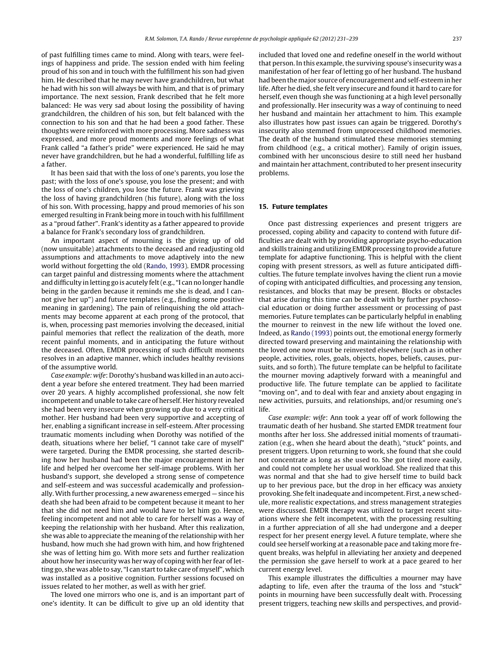of past fulfilling times came to mind. Along with tears, were feelings of happiness and pride. The session ended with him feeling proud of his son and in touch with the fulfillment his son had given him. He described that he may never have grandchildren, but what he had with his son will always be with him, and that is of primary importance. The next session, Frank described that he felt more balanced: He was very sad about losing the possibility of having grandchildren, the children of his son, but felt balanced with the connection to his son and that he had been a good father. These thoughts were reinforced with more processing. More sadness was expressed, and more proud moments and more feelings of what Frank called "a father's pride" were experienced. He said he may never have grandchildren, but he had a wonderful, fulfilling life as a father.

It has been said that with the loss of one's parents, you lose the past; with the loss of one's spouse, you lose the present; and with the loss of one's children, you lose the future. Frank was grieving the loss of having grandchildren (his future), along with the loss of his son. With processing, happy and proud memories of his son emerged resulting in Frank being more in touch with his fulfillment as a "proud father". Frank's identity as a father appeared to provide a balance for Frank's secondary loss of grandchildren.

An important aspect of mourning is the giving up of old (now unsuitable) attachments to the deceased and readjusting old assumptions and attachments to move adaptively into the new world without forgetting the old ([Rando,](#page-8-0) [1993\).](#page-8-0) EMDR processing can target painful and distressing moments where the attachment and difficulty in letting go is acutely felt(e.g., "I can no longer handle being in the garden because it reminds me she is dead, and I cannot give her up") and future templates (e.g., finding some positive meaning in gardening). The pain of relinquishing the old attachments may become apparent at each prong of the protocol, that is, when, processing past memories involving the deceased, initial painful memories that reflect the realization of the death, more recent painful moments, and in anticipating the future without the deceased. Often, EMDR processing of such difficult moments resolves in an adaptive manner, which includes healthy revisions of the assumptive world.

Case example: wife: Dorothy's husband was killed in an auto accident a year before she entered treatment. They had been married over 20 years. A highly accomplished professional, she now felt incompetent and unable to take care of herself. Her history revealed she had been very insecure when growing up due to a very critical mother. Her husband had been very supportive and accepting of her, enabling a significant increase in self-esteem. After processing traumatic moments including when Dorothy was notified of the death, situations where her belief, "I cannot take care of myself" were targeted. During the EMDR processing, she started describing how her husband had been the major encouragement in her life and helped her overcome her self-image problems. With her husband's support, she developed a strong sense of competence and self-esteem and was successful academically and professionally. With further processing, a new awareness emerged — since his death she had been afraid to be competent because it meant to her that she did not need him and would have to let him go. Hence, feeling incompetent and not able to care for herself was a way of keeping the relationship with her husband. After this realization, she was able to appreciate the meaning of the relationship with her husband, how much she had grown with him, and how frightened she was of letting him go. With more sets and further realization about how her insecurity was her way of coping with her fear of letting go, she was able to say, "I can start to take care of myself", which was installed as a positive cognition. Further sessions focused on issues related to her mother, as well as with her grief.

The loved one mirrors who one is, and is an important part of one's identity. It can be difficult to give up an old identity that included that loved one and redefine oneself in the world without that person. In this example, the surviving spouse's insecurity was a manifestation of her fear of letting go of her husband. The husband had been the major source of encouragement and self-esteem in her life. After he died, she felt very insecure and found it hard to care for herself, even though she was functioning at a high level personally and professionally. Her insecurity was a way of continuing to need her husband and maintain her attachment to him. This example also illustrates how past issues can again be triggered. Dorothy's insecurity also stemmed from unprocessed childhood memories. The death of the husband stimulated these memories stemming from childhood (e.g., a critical mother). Family of origin issues, combined with her unconscious desire to still need her husband and maintain her attachment, contributed to her present insecurity problems.

#### **15. Future templates**

Once past distressing experiences and present triggers are processed, coping ability and capacity to contend with future difficulties are dealt with by providing appropriate psycho-education and skills training and utilizing EMDR processing to provide a future template for adaptive functioning. This is helpful with the client coping with present stressors, as well as future anticipated difficulties. The future template involves having the client run a movie of coping with anticipated difficulties, and processing any tension, resistances, and blocks that may be present. Blocks or obstacles that arise during this time can be dealt with by further psychosocial education or doing further assessment or processing of past memories. Future templates can be particularly helpful in enabling the mourner to reinvest in the new life without the loved one. Indeed, as [Rando](#page-8-0) [\(1993\)](#page-8-0) points out, the emotional energy formerly directed toward preserving and maintaining the relationship with the loved one now must be reinvested elsewhere (such as in other people, activities, roles, goals, objects, hopes, beliefs, causes, pursuits, and so forth). The future template can be helpful to facilitate the mourner moving adaptively forward with a meaningful and productive life. The future template can be applied to facilitate "moving on", and to deal with fear and anxiety about engaging in new activities, pursuits, and relationships, and/or resuming one's life.

Case example: wife: Ann took a year off of work following the traumatic death of her husband. She started EMDR treatment four months after her loss. She addressed initial moments of traumatization (e.g., when she heard about the death), "stuck" points, and present triggers. Upon returning to work, she found that she could not concentrate as long as she used to. She got tired more easily, and could not complete her usual workload. She realized that this was normal and that she had to give herself time to build back up to her previous pace, but the drop in her efficacy was anxiety provoking. She felt inadequate and incompetent. First, a new schedule, more realistic expectations, and stress management strategies were discussed. EMDR therapy was utilized to target recent situations where she felt incompetent, with the processing resulting in a further appreciation of all she had undergone and a deeper respect for her present energy level. A future template, where she could see herself working at a reasonable pace and taking more frequent breaks, was helpful in alleviating her anxiety and deepened the permission she gave herself to work at a pace geared to her current energy level.

This example illustrates the difficulties a mourner may have adapting to life, even after the trauma of the loss and "stuck" points in mourning have been successfully dealt with. Processing present triggers, teaching new skills and perspectives, and provid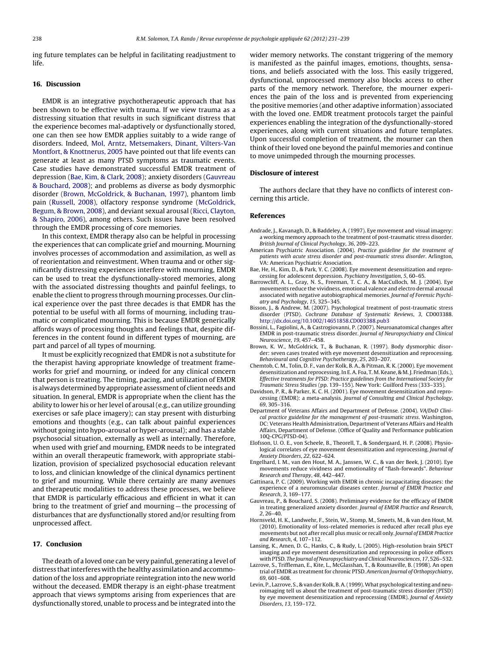<span id="page-7-0"></span>ing future templates can be helpful in facilitating readjustment to life.

## **16. Discussion**

EMDR is an integrative psychotherapeutic approach that has been shown to be effective with trauma. If we view trauma as a distressing situation that results in such significant distress that the experience becomes mal-adaptively or dysfunctionally stored, one can then see how EMDR applies suitably to a wide range of disorders. Indeed, [Mol,](#page-8-0) [Arntz,](#page-8-0) [Metsemakers,](#page-8-0) [Dinant,](#page-8-0) [Vilters-Van](#page-8-0) [Montfort,](#page-8-0) [&](#page-8-0) [Knottnerus,](#page-8-0) [2005](#page-8-0) have pointed out that life events can generate at least as many PTSD symptoms as traumatic events. Case studies have demonstrated successful EMDR treatment of depression (Bae, Kim, & Clark, 2008); anxiety disorders (Gauvreau & Bouchard, 2008); and problems as diverse as body dysmorphic disorder (Brown, McGoldrick, & Buchanan, 1997), phantom limb pain ([Russell,](#page-8-0) [2008\),](#page-8-0) olfactory response syndrome [\(McGoldrick,](#page-8-0) [Begum,](#page-8-0) [&](#page-8-0) [Brown,](#page-8-0) [2008\),](#page-8-0) and deviant sexual arousal ([Ricci,](#page-8-0) [Clayton,](#page-8-0) [&](#page-8-0) [Shapiro,](#page-8-0) [2006\),](#page-8-0) among others. Such issues have been resolved through the EMDR processing of core memories.

In this context, EMDR therapy also can be helpful in processing the experiences that can complicate grief and mourning. Mourning involves processes of accommodation and assimilation, as well as of reorientation and reinvestment. When trauma and or other significantly distressing experiences interfere with mourning, EMDR can be used to treat the dysfunctionally-stored memories, along with the associated distressing thoughts and painful feelings, to enable the client to progress through mourning processes. Our clinical experience over the past three decades is that EMDR has the potential to be useful with all forms of mourning, including traumatic or complicated mourning. This is because EMDR generically affords ways of processing thoughts and feelings that, despite differences in the content found in different types of mourning, are part and parcel of all types of mourning.

It must be explicitly recognized that EMDR is not a substitute for the therapist having appropriate knowledge of treatment frameworks for grief and mourning, or indeed for any clinical concern that person is treating. The timing, pacing, and utilization of EMDR is always determined by appropriate assessment of client needs and situation. In general, EMDR is appropriate when the client has the ability to lower his or her level of arousal(e.g., can utilize grounding exercises or safe place imagery); can stay present with disturbing emotions and thoughts (e.g., can talk about painful experiences without going into hypo-arousal or hyper-arousal); and has a stable psychosocial situation, externally as well as internally. Therefore, when used with grief and mourning, EMDR needs to be integrated within an overall therapeutic framework, with appropriate stabilization, provision of specialized psychosocial education relevant to loss, and clinician knowledge of the clinical dynamics pertinent to grief and mourning. While there certainly are many avenues and therapeutic modalities to address these processes, we believe that EMDR is particularly efficacious and efficient in what it can bring to the treatment of grief and mourning — the processing of disturbances that are dysfunctionally stored and/or resulting from unprocessed affect.

#### **17. Conclusion**

The death of a loved one can be very painful, generating a level of distress that interferes with the healthy assimilation and accommodation of the loss and appropriate reintegration into the new world without the deceased. EMDR therapy is an eight-phase treatment approach that views symptoms arising from experiences that are dysfunctionally stored, unable to process and be integrated into the

wider memory networks. The constant triggering of the memory is manifested as the painful images, emotions, thoughts, sensations, and beliefs associated with the loss. This easily triggered, dysfunctional, unprocessed memory also blocks access to other parts of the memory network. Therefore, the mourner experiences the pain of the loss and is prevented from experiencing the positive memories (and other adaptive information) associated with the loved one. EMDR treatment protocols target the painful experiences enabling the integration of the dysfunctionally-stored experiences, along with current situations and future templates. Upon successful completion of treatment, the mourner can then think of their loved one beyond the painful memories and continue to move unimpeded through the mourning processes.

#### **Disclosure of interest**

The authors declare that they have no conflicts of interest concerning this article.

#### **References**

- Andrade, J., Kavanagh, D., & Baddeley, A. (1997). Eye movement and visual imagery: a working memory approach to the treatment of post-traumatic stress disorder. British Journal of Clinical Psychology, 36, 209–223.
- American Psychiatric Association. (2004). Practice guideline for the treatment of patients with acute stress disorder and post-traumatic stress disorder. Arlington, VA: American Psychiatric Association.
- Bae, He, H., Kim, D., & Park, Y. C. (2008). Eye movement desensitization and reprocessing for adolescent depression. Psychiatry Investigation, 5, 60–65.
- Barrowcliff, A. L., Gray, N. S., Freeman, T. C. A., & MacCulloch, M. J. (2004). Eye movements reduce the vividness, emotional valence and electro dermal arousal associated with negative autobiographical memories. Journal of Forensic Psychiatry and Psychology, 15, 325–345.
- Bisson, J., & Andrew, M. (2007). Psychological treatment of post-traumatic stress disorder (PTSD). Cochrane Database of Systematic Reviews, 3, CD003388. [http://dx.doi.org/10.1002/14651858.CD003388.pub3](dx.doi.org/10.1002/14651858.CD003388.pub3)
- Bossini, L., Fagiolini, A., & Castrogiovanni, P. (2007). Neuroanatomical changes after EMDR in post-traumatic stress disorder. Journal of Neuropsychiatry and Clinical Neuroscience, 19, 457–458.
- Brown, K. W., McGoldrick, T., & Buchanan, R. (1997). Body dysmorphic disorder: seven cases treated with eye movement desensitization and reprocessing. Behavioural and Cognitive Psychotherapy, 25, 203–207.
- Chemtob, C. M., Tolin, D. F., van der Kolk, B. A., & Pitman, R. K. (2000). Eye movement desensitization and reprocessing. In E.A. Foa, T. M. Keane, & M. J. Friedman (Eds.), Effective treatments for PTSD: Practice guidelines from the International Society for Traumatic Stress Studies (pp. 139–155). New York: Guilford Press (333–335).
- Davidson, P. R., & Parker, K. C. H. (2001). Eye movement desensitization and reprocessing (EMDR): a meta-analysis. Journal of Consulting and Clinical Psychology, 69, 305–316.
- Department of Veterans Affairs and Department of Defense. (2004). VA/DoD Clinical practice guideline for the management of post-traumatic stress. Washington, DC: Veterans Health Administration, Department of Veterans Affairs and Health Affairs, Department of Defense. (Office of Quality and Performance publication 10Q-CPG/PTSD-04).
- Elofsson, U. O. E., von Scheele, B., Theorell, T., & Sondergaard, H. P. (2008). Physiological correlates of eye movement desensitization and reprocessing. Journal of Anxiety Disorders, 22, 622–624.
- Engelhard, I. M., van den Hout, M. A., Janssen, W. C., & van der Beek, J. (2010). Eye movements reduce vividness and emotionality of "flash-forwards". Behaviour Research and Therapy, 48, 442–447.
- Gattinara, P. C. (2009). Working with EMDR in chronic incapacitating diseases: the experience of a neuromuscular diseases center. Journal of EMDR Practice and Research, 3, 169–177.
- Gauvreau, P., & Bouchard, S. (2008). Preliminary evidence for the efficacy of EMDR in treating generalized anxiety disorder. Journal of EMDR Practice and Research, 2, 26–40.
- Hornsveld, H. K., Landwehr, F., Stein, W., Stomp, M., Smeets, M., & van den Hout, M. (2010). Emotionality of loss-related memories is reduced after recall plus eye movements but not after recall plus music or recall only. Journal of EMDR Practice and Research, 4, 107–112.
- Lansing, K., Amen, D. G., Hanks, C., & Rudy, L. (2005). High-resolution brain SPECT imaging and eye movement desensitization and reprocessing in police officers with PTSD. The Journal of Neuropsychiatry and Clinical Neurosciences, 17, 526–532.
- Lazrove, S., Triffleman, E., Kite, L., McGlasshan, T., & Rounsaville, B. (1998). An open trial of EMDR as treatment for chronic PTSD. American Journal of Orthopsychiatry, 69, 601–608.
- Levin, P., Lazrove, S., & van der Kolk, B. A. (1999). What psychological testing and neuroimaging tell us about the treatment of post-traumatic stress disorder (PTSD) by eye movement desensitization and reprocessing (EMDR). Journal of Anxiety Disorders, 13, 159–172.